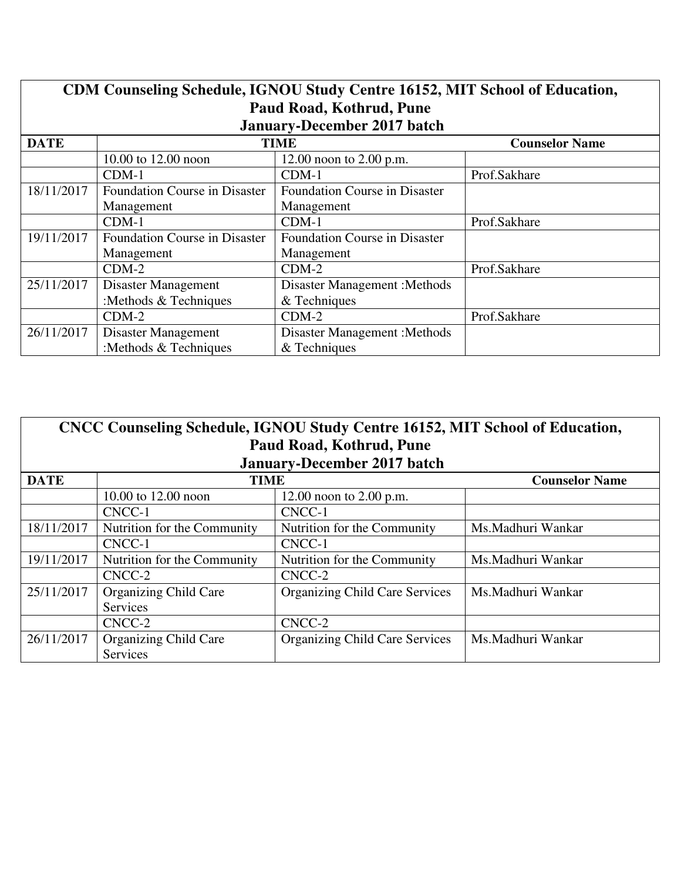| CDM Counseling Schedule, IGNOU Study Centre 16152, MIT School of Education,<br>Paud Road, Kothrud, Pune<br><b>January-December 2017 batch</b> |                                      |                                      |                       |
|-----------------------------------------------------------------------------------------------------------------------------------------------|--------------------------------------|--------------------------------------|-----------------------|
| <b>DATE</b>                                                                                                                                   | <b>TIME</b>                          |                                      | <b>Counselor Name</b> |
|                                                                                                                                               | 10.00 to 12.00 noon                  | 12.00 noon to $2.00$ p.m.            |                       |
|                                                                                                                                               | $CDM-1$                              | $CDM-1$                              | Prof.Sakhare          |
| 18/11/2017                                                                                                                                    | <b>Foundation Course in Disaster</b> | <b>Foundation Course in Disaster</b> |                       |
|                                                                                                                                               | Management                           | Management                           |                       |
|                                                                                                                                               | $CDM-1$                              | $CDM-1$                              | Prof.Sakhare          |
| 19/11/2017                                                                                                                                    | <b>Foundation Course in Disaster</b> | <b>Foundation Course in Disaster</b> |                       |
|                                                                                                                                               | Management                           | Management                           |                       |
|                                                                                                                                               | $CDM-2$                              | $CDM-2$                              | Prof.Sakhare          |
| 25/11/2017                                                                                                                                    | Disaster Management                  | <b>Disaster Management : Methods</b> |                       |
|                                                                                                                                               | :Methods & Techniques                | & Techniques                         |                       |
|                                                                                                                                               | $CDM-2$                              | $CDM-2$                              | Prof.Sakhare          |
| 26/11/2017                                                                                                                                    | Disaster Management                  | <b>Disaster Management : Methods</b> |                       |
|                                                                                                                                               | : Methods $&$ Techniques             | & Techniques                         |                       |

| CNCC Counseling Schedule, IGNOU Study Centre 16152, MIT School of Education, |                              |                                       |                       |
|------------------------------------------------------------------------------|------------------------------|---------------------------------------|-----------------------|
| Paud Road, Kothrud, Pune                                                     |                              |                                       |                       |
|                                                                              |                              | <b>January-December 2017 batch</b>    |                       |
| <b>DATE</b>                                                                  | <b>TIME</b>                  |                                       | <b>Counselor Name</b> |
|                                                                              | 10.00 to 12.00 noon          | 12.00 noon to $2.00$ p.m.             |                       |
|                                                                              | CNCC-1                       | CNCC-1                                |                       |
| 18/11/2017                                                                   | Nutrition for the Community  | Nutrition for the Community           | Ms.Madhuri Wankar     |
|                                                                              | CNCC-1                       | CNCC-1                                |                       |
| 19/11/2017                                                                   | Nutrition for the Community  | Nutrition for the Community           | Ms.Madhuri Wankar     |
|                                                                              | CNCC-2                       | CNCC-2                                |                       |
| 25/11/2017                                                                   | <b>Organizing Child Care</b> | <b>Organizing Child Care Services</b> | Ms.Madhuri Wankar     |
|                                                                              | Services                     |                                       |                       |
|                                                                              | CNCC-2                       | CNCC-2                                |                       |
| 26/11/2017                                                                   | <b>Organizing Child Care</b> | <b>Organizing Child Care Services</b> | Ms.Madhuri Wankar     |
|                                                                              | Services                     |                                       |                       |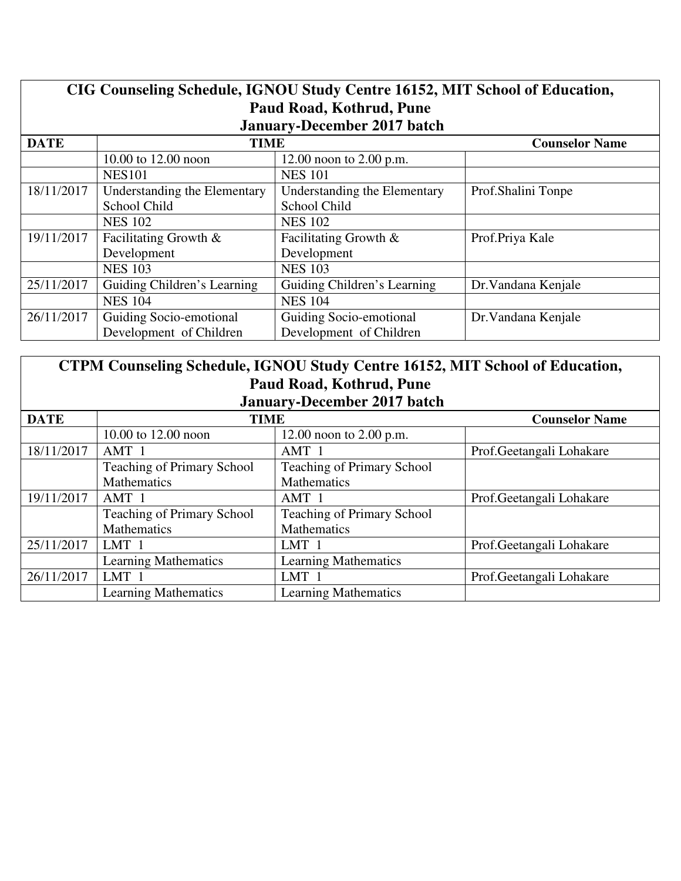| CIG Counseling Schedule, IGNOU Study Centre 16152, MIT School of Education,<br>Paud Road, Kothrud, Pune<br><b>January-December 2017 batch</b> |                              |                              |                       |
|-----------------------------------------------------------------------------------------------------------------------------------------------|------------------------------|------------------------------|-----------------------|
| <b>DATE</b><br><b>TIME</b>                                                                                                                    |                              |                              | <b>Counselor Name</b> |
|                                                                                                                                               | 10.00 to 12.00 noon          | 12.00 noon to $2.00$ p.m.    |                       |
|                                                                                                                                               | <b>NES101</b>                | <b>NES 101</b>               |                       |
| 18/11/2017                                                                                                                                    | Understanding the Elementary | Understanding the Elementary | Prof.Shalini Tonpe    |
|                                                                                                                                               | School Child                 | School Child                 |                       |
|                                                                                                                                               | <b>NES 102</b>               | <b>NES 102</b>               |                       |
| 19/11/2017                                                                                                                                    | Facilitating Growth &        | Facilitating Growth &        | Prof.Priya Kale       |
|                                                                                                                                               | Development                  | Development                  |                       |
|                                                                                                                                               | <b>NES 103</b>               | <b>NES 103</b>               |                       |
| 25/11/2017                                                                                                                                    | Guiding Children's Learning  | Guiding Children's Learning  | Dr. Vandana Kenjale   |
|                                                                                                                                               | <b>NES 104</b>               | <b>NES 104</b>               |                       |
| 26/11/2017                                                                                                                                    | Guiding Socio-emotional      | Guiding Socio-emotional      | Dr. Vandana Kenjale   |
|                                                                                                                                               | Development of Children      | Development of Children      |                       |

| CTPM Counseling Schedule, IGNOU Study Centre 16152, MIT School of Education, |  |  |
|------------------------------------------------------------------------------|--|--|
| Paud Road, Kothrud, Pune                                                     |  |  |
| January-December 2017 batch                                                  |  |  |

| <b>DATE</b> | <b>TIME</b>                       |                                   | <b>Counselor Name</b>     |
|-------------|-----------------------------------|-----------------------------------|---------------------------|
|             | 10.00 to 12.00 noon               | 12.00 noon to $2.00$ p.m.         |                           |
| 18/11/2017  | AMT 1                             | AMT 1                             | Prof.Geetangali Lohakare  |
|             | <b>Teaching of Primary School</b> | Teaching of Primary School        |                           |
|             | Mathematics                       | <b>Mathematics</b>                |                           |
| 19/11/2017  | AMT 1                             | AMT 1                             | Prof.Geetangali Lohakare  |
|             | <b>Teaching of Primary School</b> | <b>Teaching of Primary School</b> |                           |
|             | Mathematics                       | <b>Mathematics</b>                |                           |
| 25/11/2017  | LMT 1                             | LMT 1                             | Prof.Geetangali Lohakare  |
|             | <b>Learning Mathematics</b>       | <b>Learning Mathematics</b>       |                           |
| 26/11/2017  | LMT <sub>1</sub>                  | LMT 1                             | Prof. Geetangali Lohakare |
|             | <b>Learning Mathematics</b>       | <b>Learning Mathematics</b>       |                           |